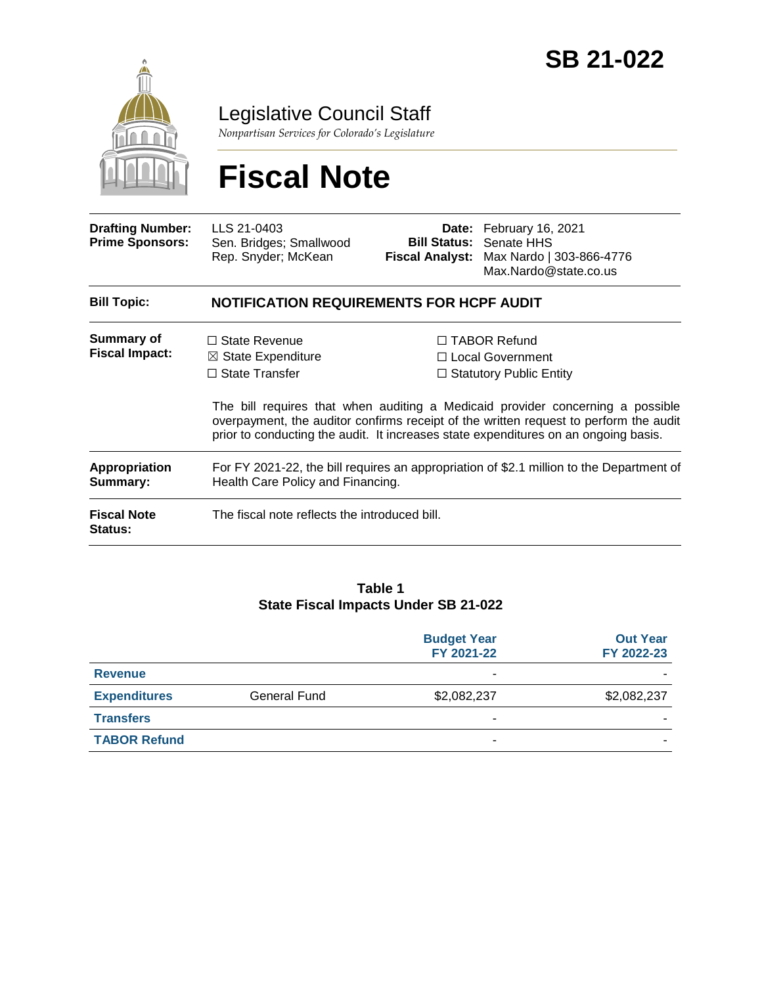

Legislative Council Staff

*Nonpartisan Services for Colorado's Legislature*

# **Fiscal Note**

| <b>Drafting Number:</b><br><b>Prime Sponsors:</b> | LLS 21-0403<br>Sen. Bridges; Smallwood<br>Rep. Snyder; McKean                                                                 |  | Date: February 16, 2021<br><b>Bill Status: Senate HHS</b><br>Fiscal Analyst: Max Nardo   303-866-4776<br>Max.Nardo@state.co.us                                                                                                                                                                                                           |  |  |
|---------------------------------------------------|-------------------------------------------------------------------------------------------------------------------------------|--|------------------------------------------------------------------------------------------------------------------------------------------------------------------------------------------------------------------------------------------------------------------------------------------------------------------------------------------|--|--|
| <b>Bill Topic:</b>                                | <b>NOTIFICATION REQUIREMENTS FOR HCPF AUDIT</b>                                                                               |  |                                                                                                                                                                                                                                                                                                                                          |  |  |
| Summary of<br><b>Fiscal Impact:</b>               | $\Box$ State Revenue<br>$\boxtimes$ State Expenditure<br>$\Box$ State Transfer                                                |  | □ TABOR Refund<br>□ Local Government<br>$\Box$ Statutory Public Entity<br>The bill requires that when auditing a Medicaid provider concerning a possible<br>overpayment, the auditor confirms receipt of the written request to perform the audit<br>prior to conducting the audit. It increases state expenditures on an ongoing basis. |  |  |
| Appropriation<br>Summary:                         | For FY 2021-22, the bill requires an appropriation of \$2.1 million to the Department of<br>Health Care Policy and Financing. |  |                                                                                                                                                                                                                                                                                                                                          |  |  |
| <b>Fiscal Note</b><br><b>Status:</b>              | The fiscal note reflects the introduced bill.                                                                                 |  |                                                                                                                                                                                                                                                                                                                                          |  |  |

#### **Table 1 State Fiscal Impacts Under SB 21-022**

|                     |                     | <b>Budget Year</b><br>FY 2021-22 | <b>Out Year</b><br>FY 2022-23 |
|---------------------|---------------------|----------------------------------|-------------------------------|
| <b>Revenue</b>      |                     | ۰                                |                               |
| <b>Expenditures</b> | <b>General Fund</b> | \$2,082,237                      | \$2,082,237                   |
| <b>Transfers</b>    |                     | -                                |                               |
| <b>TABOR Refund</b> |                     | -                                |                               |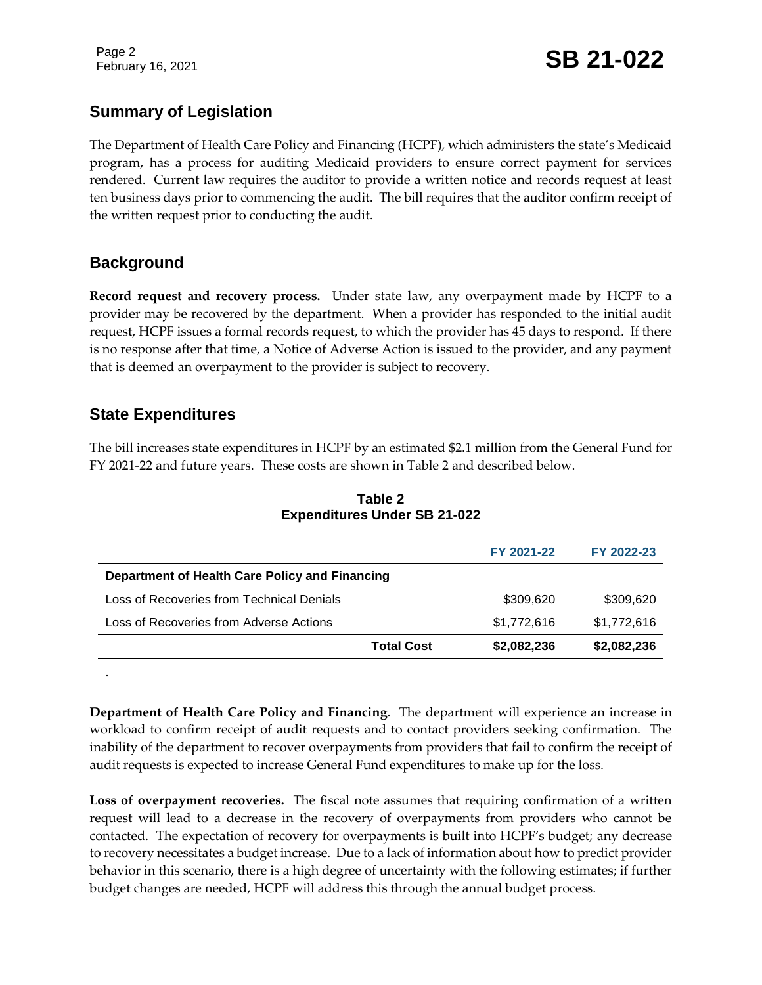Page 2

## February 16, 2021 **SB 21-022**

### **Summary of Legislation**

The Department of Health Care Policy and Financing (HCPF), which administers the state's Medicaid program, has a process for auditing Medicaid providers to ensure correct payment for services rendered. Current law requires the auditor to provide a written notice and records request at least ten business days prior to commencing the audit. The bill requires that the auditor confirm receipt of the written request prior to conducting the audit.

#### **Background**

**Record request and recovery process.** Under state law, any overpayment made by HCPF to a provider may be recovered by the department. When a provider has responded to the initial audit request, HCPF issues a formal records request, to which the provider has 45 days to respond. If there is no response after that time, a Notice of Adverse Action is issued to the provider, and any payment that is deemed an overpayment to the provider is subject to recovery.

#### **State Expenditures**

.

The bill increases state expenditures in HCPF by an estimated \$2.1 million from the General Fund for FY 2021-22 and future years. These costs are shown in Table 2 and described below.

|                                                |                   | FY 2021-22  | FY 2022-23  |
|------------------------------------------------|-------------------|-------------|-------------|
| Department of Health Care Policy and Financing |                   |             |             |
| Loss of Recoveries from Technical Denials      |                   | \$309,620   | \$309,620   |
| Loss of Recoveries from Adverse Actions        |                   | \$1,772,616 | \$1,772,616 |
|                                                | <b>Total Cost</b> | \$2,082,236 | \$2,082,236 |

**Table 2 Expenditures Under SB 21-022**

**Department of Health Care Policy and Financing**. The department will experience an increase in workload to confirm receipt of audit requests and to contact providers seeking confirmation. The inability of the department to recover overpayments from providers that fail to confirm the receipt of audit requests is expected to increase General Fund expenditures to make up for the loss.

**Loss of overpayment recoveries.** The fiscal note assumes that requiring confirmation of a written request will lead to a decrease in the recovery of overpayments from providers who cannot be contacted. The expectation of recovery for overpayments is built into HCPF's budget; any decrease to recovery necessitates a budget increase. Due to a lack of information about how to predict provider behavior in this scenario, there is a high degree of uncertainty with the following estimates; if further budget changes are needed, HCPF will address this through the annual budget process.